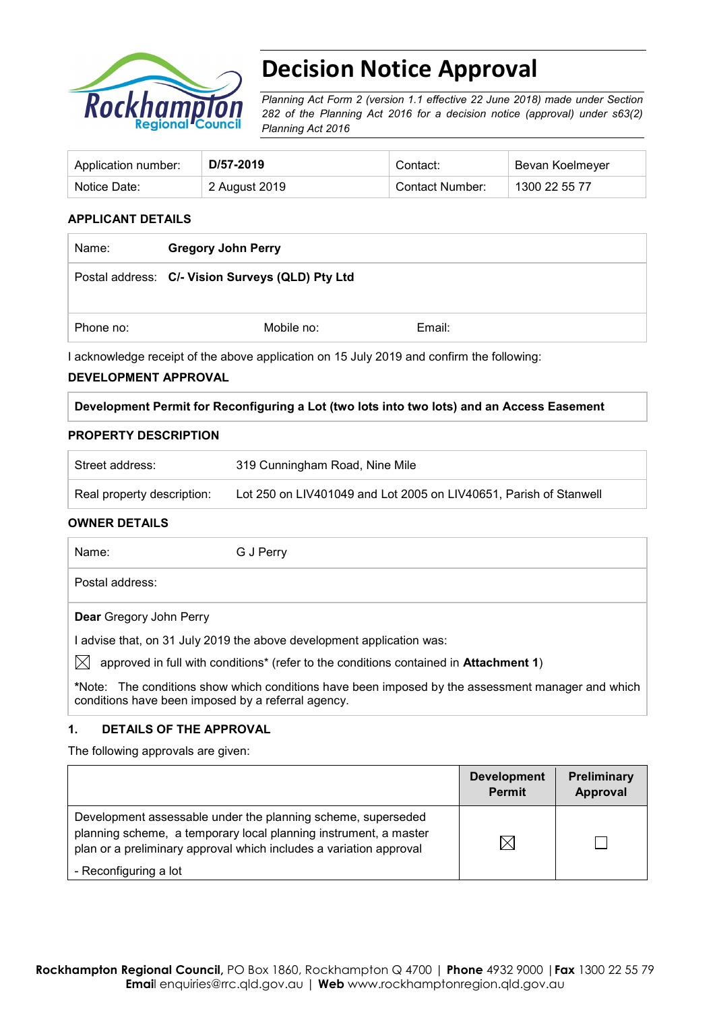

# **Decision Notice Approval**

*Planning Act Form 2 (version 1.1 effective 22 June 2018) made under Section 282 of the Planning Act 2016 for a decision notice (approval) under s63(2) Planning Act 2016*

| Application number: | D/57-2019     | Contact:        | Bevan Koelmeyer |
|---------------------|---------------|-----------------|-----------------|
| Notice Date:        | 2 August 2019 | Contact Number: | 1300 22 55 77   |

#### **APPLICANT DETAILS**

| Name:     | <b>Gregory John Perry</b>                        |        |
|-----------|--------------------------------------------------|--------|
|           | Postal address: C/- Vision Surveys (QLD) Pty Ltd |        |
| Phone no: | Mobile no:                                       | Email: |

I acknowledge receipt of the above application on 15 July 2019 and confirm the following:

#### **DEVELOPMENT APPROVAL**

**Development Permit for Reconfiguring a Lot (two lots into two lots) and an Access Easement**

#### **PROPERTY DESCRIPTION**

| Street address:            | 319 Cunningham Road, Nine Mile                                    |
|----------------------------|-------------------------------------------------------------------|
| Real property description: | Lot 250 on LIV401049 and Lot 2005 on LIV40651, Parish of Stanwell |

#### **OWNER DETAILS**

Name: G J Perry

Postal address:

**Dear** Gregory John Perry

I advise that, on 31 July 2019 the above development application was:

 $\boxtimes$  approved in full with conditions<sup>\*</sup> (refer to the conditions contained in **Attachment 1**)

**\***Note:The conditions show which conditions have been imposed by the assessment manager and which conditions have been imposed by a referral agency.

## **1. DETAILS OF THE APPROVAL**

The following approvals are given:

|                                                                                                                                                                                                        | <b>Development</b><br><b>Permit</b> | <b>Preliminary</b><br>Approval |
|--------------------------------------------------------------------------------------------------------------------------------------------------------------------------------------------------------|-------------------------------------|--------------------------------|
| Development assessable under the planning scheme, superseded<br>planning scheme, a temporary local planning instrument, a master<br>plan or a preliminary approval which includes a variation approval | IX                                  |                                |
| - Reconfiguring a lot                                                                                                                                                                                  |                                     |                                |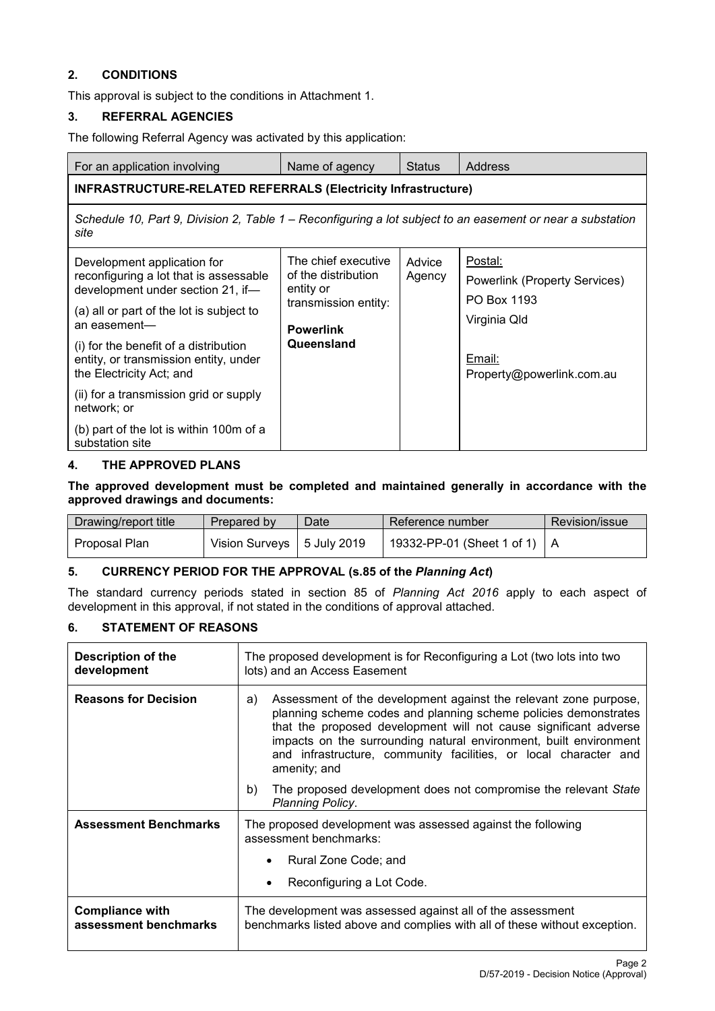## **2. CONDITIONS**

This approval is subject to the conditions in Attachment 1.

#### **3. REFERRAL AGENCIES**

The following Referral Agency was activated by this application:

| For an application involving                                                                                                                                                                                                                                                                                                                                                                                | Name of agency                                                                                                    | <b>Status</b>    | Address                                                                                                               |  |  |
|-------------------------------------------------------------------------------------------------------------------------------------------------------------------------------------------------------------------------------------------------------------------------------------------------------------------------------------------------------------------------------------------------------------|-------------------------------------------------------------------------------------------------------------------|------------------|-----------------------------------------------------------------------------------------------------------------------|--|--|
| <b>INFRASTRUCTURE-RELATED REFERRALS (Electricity Infrastructure)</b>                                                                                                                                                                                                                                                                                                                                        |                                                                                                                   |                  |                                                                                                                       |  |  |
| Schedule 10, Part 9, Division 2, Table 1 – Reconfiguring a lot subject to an easement or near a substation<br>site                                                                                                                                                                                                                                                                                          |                                                                                                                   |                  |                                                                                                                       |  |  |
| Development application for<br>reconfiguring a lot that is assessable<br>development under section 21, if-<br>(a) all or part of the lot is subject to<br>an easement-<br>(i) for the benefit of a distribution<br>entity, or transmission entity, under<br>the Electricity Act; and<br>(ii) for a transmission grid or supply<br>network; or<br>(b) part of the lot is within 100m of a<br>substation site | The chief executive<br>of the distribution<br>entity or<br>transmission entity:<br><b>Powerlink</b><br>Queensland | Advice<br>Agency | Postal:<br><b>Powerlink (Property Services)</b><br>PO Box 1193<br>Virginia Qld<br>Email:<br>Property@powerlink.com.au |  |  |

#### **4. THE APPROVED PLANS**

#### **The approved development must be completed and maintained generally in accordance with the approved drawings and documents:**

| Drawing/report title | Prepared by                  | Date | Reference number               | Revision/issue |
|----------------------|------------------------------|------|--------------------------------|----------------|
| Proposal Plan        | Vision Surveys   5 July 2019 |      | 19332-PP-01 (Sheet 1 of 1)   A |                |

## **5. CURRENCY PERIOD FOR THE APPROVAL (s.85 of the** *Planning Act***)**

The standard currency periods stated in section 85 of *Planning Act 2016* apply to each aspect of development in this approval, if not stated in the conditions of approval attached.

## **6. STATEMENT OF REASONS**

| <b>Description of the</b><br>development        | The proposed development is for Reconfiguring a Lot (two lots into two<br>lots) and an Access Easement                                                                                                                                                                                                                                                                 |  |  |
|-------------------------------------------------|------------------------------------------------------------------------------------------------------------------------------------------------------------------------------------------------------------------------------------------------------------------------------------------------------------------------------------------------------------------------|--|--|
| <b>Reasons for Decision</b>                     | Assessment of the development against the relevant zone purpose,<br>a)<br>planning scheme codes and planning scheme policies demonstrates<br>that the proposed development will not cause significant adverse<br>impacts on the surrounding natural environment, built environment<br>and infrastructure, community facilities, or local character and<br>amenity; and |  |  |
|                                                 | The proposed development does not compromise the relevant State<br>b)<br>Planning Policy.                                                                                                                                                                                                                                                                              |  |  |
| <b>Assessment Benchmarks</b>                    | The proposed development was assessed against the following<br>assessment benchmarks:                                                                                                                                                                                                                                                                                  |  |  |
|                                                 | Rural Zone Code; and                                                                                                                                                                                                                                                                                                                                                   |  |  |
|                                                 | Reconfiguring a Lot Code.                                                                                                                                                                                                                                                                                                                                              |  |  |
| <b>Compliance with</b><br>assessment benchmarks | The development was assessed against all of the assessment<br>benchmarks listed above and complies with all of these without exception.                                                                                                                                                                                                                                |  |  |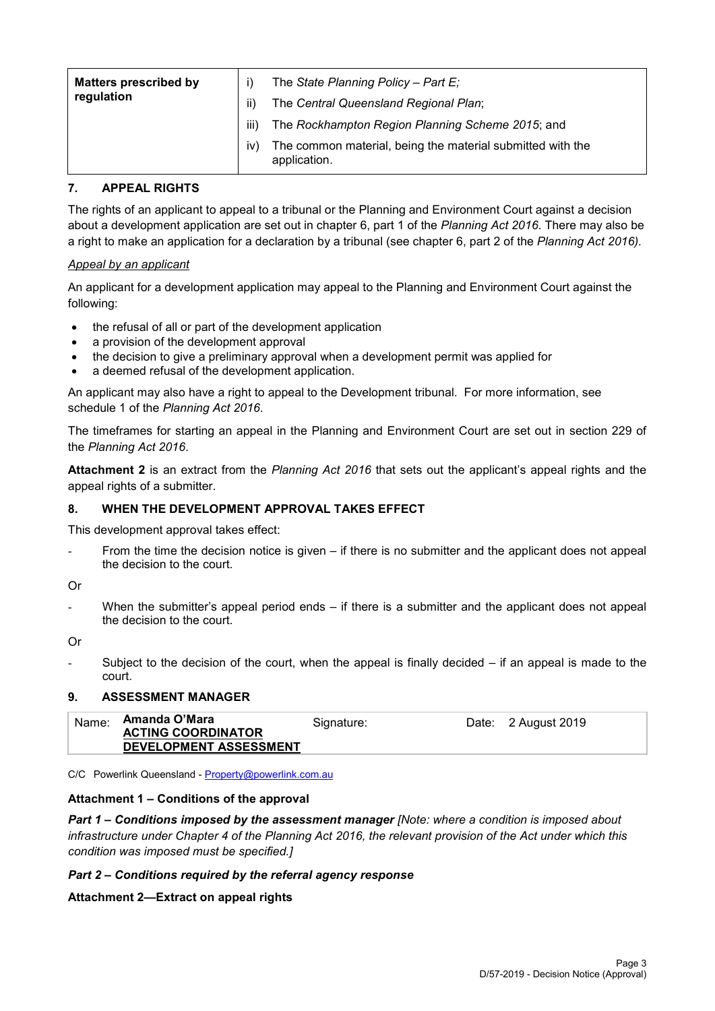| <b>Matters prescribed by</b><br>regulation | ii)       | The State Planning Policy - Part $E_i$<br>The Central Queensland Regional Plan; |
|--------------------------------------------|-----------|---------------------------------------------------------------------------------|
|                                            | iii)      | The Rockhampton Region Planning Scheme 2015; and                                |
|                                            | <b>IV</b> | The common material, being the material submitted with the<br>application.      |

## **7. APPEAL RIGHTS**

The rights of an applicant to appeal to a tribunal or the Planning and Environment Court against a decision about a development application are set out in chapter 6, part 1 of the *Planning Act 2016*. There may also be a right to make an application for a declaration by a tribunal (see chapter 6, part 2 of the *Planning Act 2016).*

#### *Appeal by an applicant*

An applicant for a development application may appeal to the Planning and Environment Court against the following:

- the refusal of all or part of the development application
- a provision of the development approval
- the decision to give a preliminary approval when a development permit was applied for
- a deemed refusal of the development application.

An applicant may also have a right to appeal to the Development tribunal. For more information, see schedule 1 of the *Planning Act 2016*.

The timeframes for starting an appeal in the Planning and Environment Court are set out in section 229 of the *Planning Act 2016*.

**Attachment 2** is an extract from the *Planning Act 2016* that sets out the applicant's appeal rights and the appeal rights of a submitter.

## **8. WHEN THE DEVELOPMENT APPROVAL TAKES EFFECT**

This development approval takes effect:

From the time the decision notice is given – if there is no submitter and the applicant does not appeal the decision to the court.

Or

When the submitter's appeal period ends  $-$  if there is a submitter and the applicant does not appeal the decision to the court.

Or

Subject to the decision of the court, when the appeal is finally decided  $-$  if an appeal is made to the court.

#### **9. ASSESSMENT MANAGER**

| Name: | Amanda O'Mara<br><b>ACTING COORDINATOR</b><br>DEVELOPMENT ASSESSMENT | Signature: | Date: 2 August 2019 |
|-------|----------------------------------------------------------------------|------------|---------------------|
|       |                                                                      |            |                     |

C/C Powerlink Queensland - [Property@powerlink.com.au](mailto:Property@powerlink.com.au)

#### **Attachment 1 – Conditions of the approval**

*Part 1* **–** *Conditions imposed by the assessment manager [Note: where a condition is imposed about infrastructure under Chapter 4 of the Planning Act 2016, the relevant provision of the Act under which this condition was imposed must be specified.]*

#### *Part 2 – Conditions required by the referral agency response*

### **Attachment 2—Extract on appeal rights**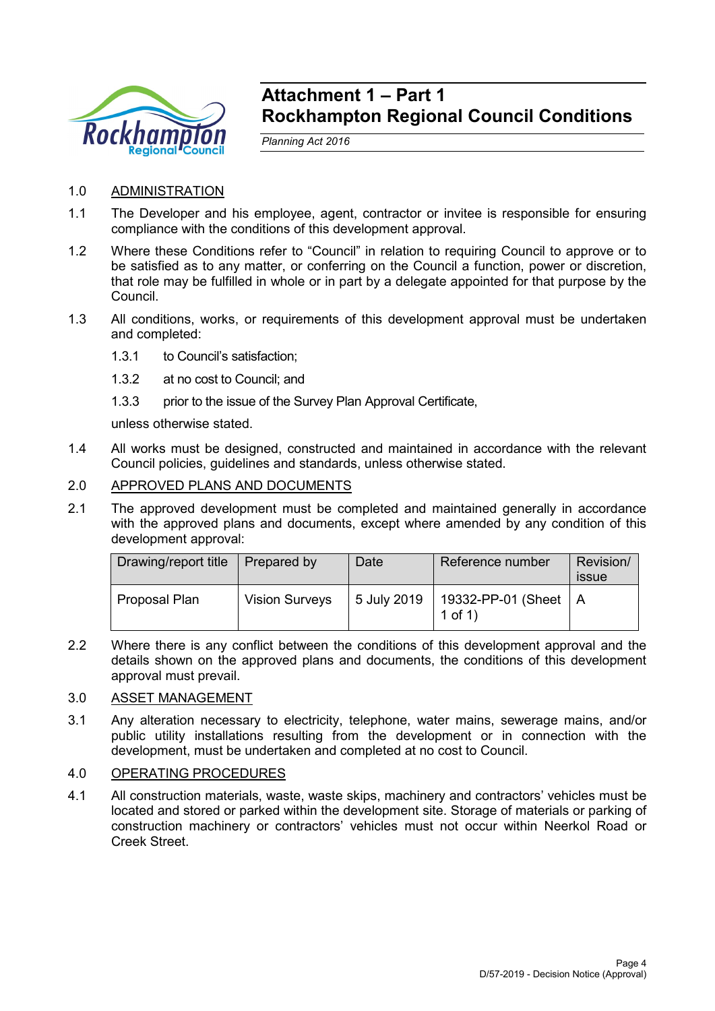

## **Attachment 1 – Part 1 Rockhampton Regional Council Conditions**

*Planning Act 2016*

- 1.0 ADMINISTRATION
- 1.1 The Developer and his employee, agent, contractor or invitee is responsible for ensuring compliance with the conditions of this development approval.
- 1.2 Where these Conditions refer to "Council" in relation to requiring Council to approve or to be satisfied as to any matter, or conferring on the Council a function, power or discretion, that role may be fulfilled in whole or in part by a delegate appointed for that purpose by the Council.
- 1.3 All conditions, works, or requirements of this development approval must be undertaken and completed:
	- 1.3.1 to Council's satisfaction;
	- 1.3.2 at no cost to Council; and
	- 1.3.3 prior to the issue of the Survey Plan Approval Certificate,

unless otherwise stated.

- 1.4 All works must be designed, constructed and maintained in accordance with the relevant Council policies, guidelines and standards, unless otherwise stated.
- 2.0 APPROVED PLANS AND DOCUMENTS
- 2.1 The approved development must be completed and maintained generally in accordance with the approved plans and documents, except where amended by any condition of this development approval:

| Drawing/report title | Prepared by           | Date        | Reference number                       | Revision/<br>issue |
|----------------------|-----------------------|-------------|----------------------------------------|--------------------|
| Proposal Plan        | <b>Vision Surveys</b> | 5 July 2019 | 19332-PP-01 (Sheet   A<br>$1$ of $1$ ) |                    |

2.2 Where there is any conflict between the conditions of this development approval and the details shown on the approved plans and documents, the conditions of this development approval must prevail.

#### 3.0 ASSET MANAGEMENT

3.1 Any alteration necessary to electricity, telephone, water mains, sewerage mains, and/or public utility installations resulting from the development or in connection with the development, must be undertaken and completed at no cost to Council.

### 4.0 OPERATING PROCEDURES

4.1 All construction materials, waste, waste skips, machinery and contractors' vehicles must be located and stored or parked within the development site. Storage of materials or parking of construction machinery or contractors' vehicles must not occur within Neerkol Road or Creek Street.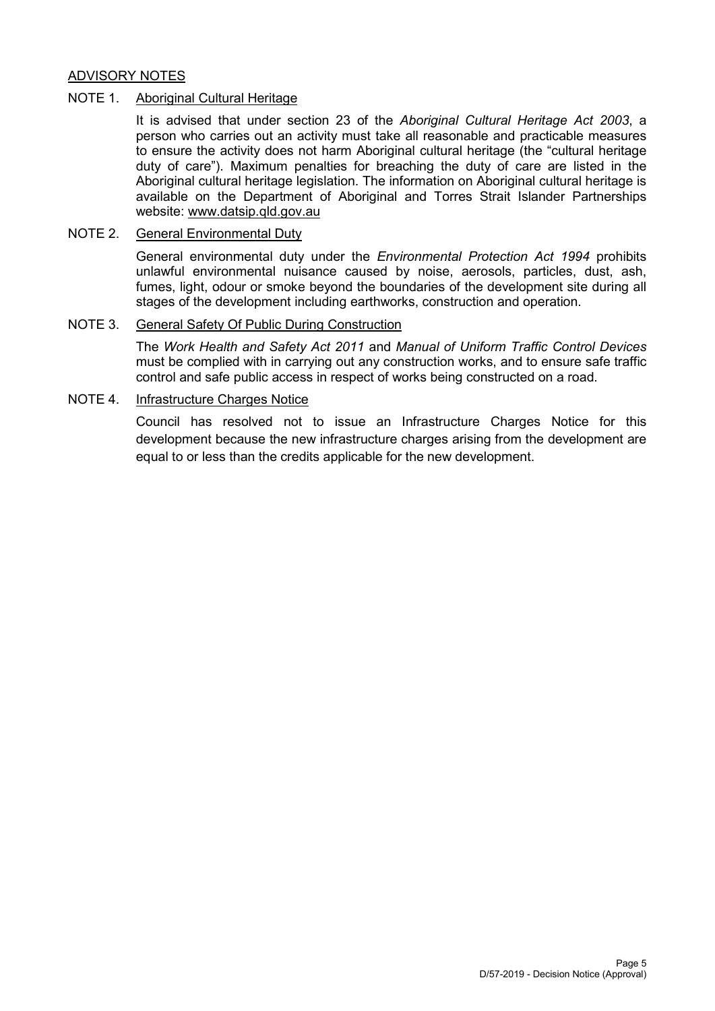#### ADVISORY NOTES

#### NOTE 1. Aboriginal Cultural Heritage

It is advised that under section 23 of the *Aboriginal Cultural Heritage Act 2003*, a person who carries out an activity must take all reasonable and practicable measures to ensure the activity does not harm Aboriginal cultural heritage (the "cultural heritage duty of care"). Maximum penalties for breaching the duty of care are listed in the Aboriginal cultural heritage legislation. The information on Aboriginal cultural heritage is available on the Department of Aboriginal and Torres Strait Islander Partnerships website: [www.datsip.qld.gov.au](http://www.datsima.qld.gov.au/)

#### NOTE 2. General Environmental Duty

General environmental duty under the *Environmental Protection Act 1994* prohibits unlawful environmental nuisance caused by noise, aerosols, particles, dust, ash, fumes, light, odour or smoke beyond the boundaries of the development site during all stages of the development including earthworks, construction and operation.

#### NOTE 3. General Safety Of Public During Construction

The *Work Health and Safety Act 2011* and *Manual of Uniform Traffic Control Devices* must be complied with in carrying out any construction works, and to ensure safe traffic control and safe public access in respect of works being constructed on a road.

#### NOTE 4. Infrastructure Charges Notice

Council has resolved not to issue an Infrastructure Charges Notice for this development because the new infrastructure charges arising from the development are equal to or less than the credits applicable for the new development.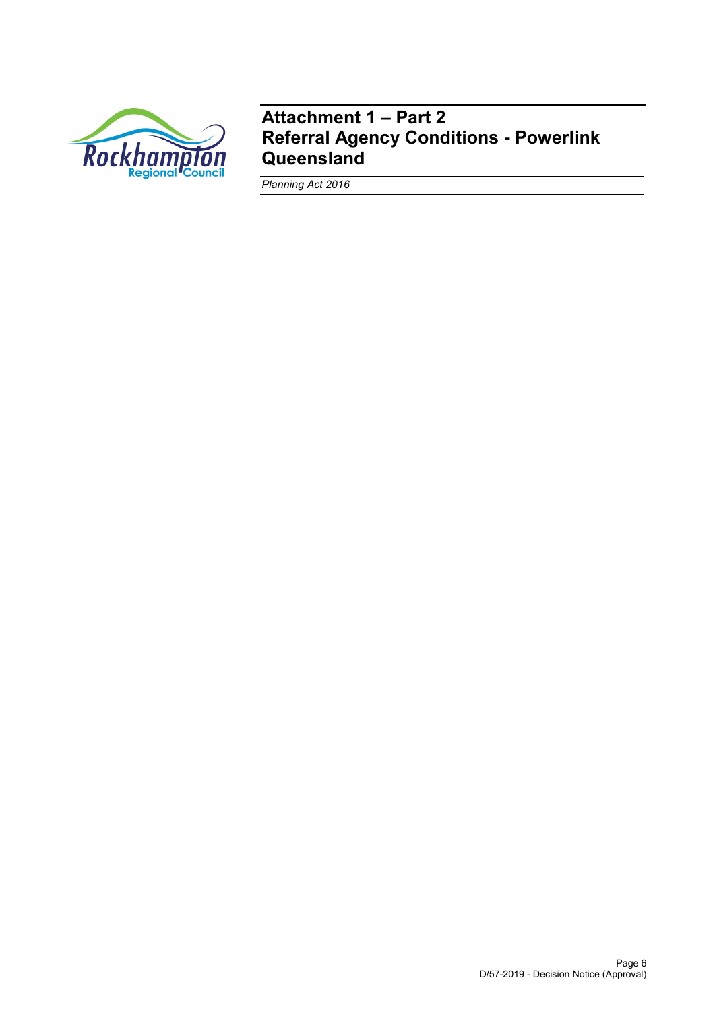

## **Attachment 1 – Part 2 Referral Agency Conditions - Powerlink Queensland**

*Planning Act 2016*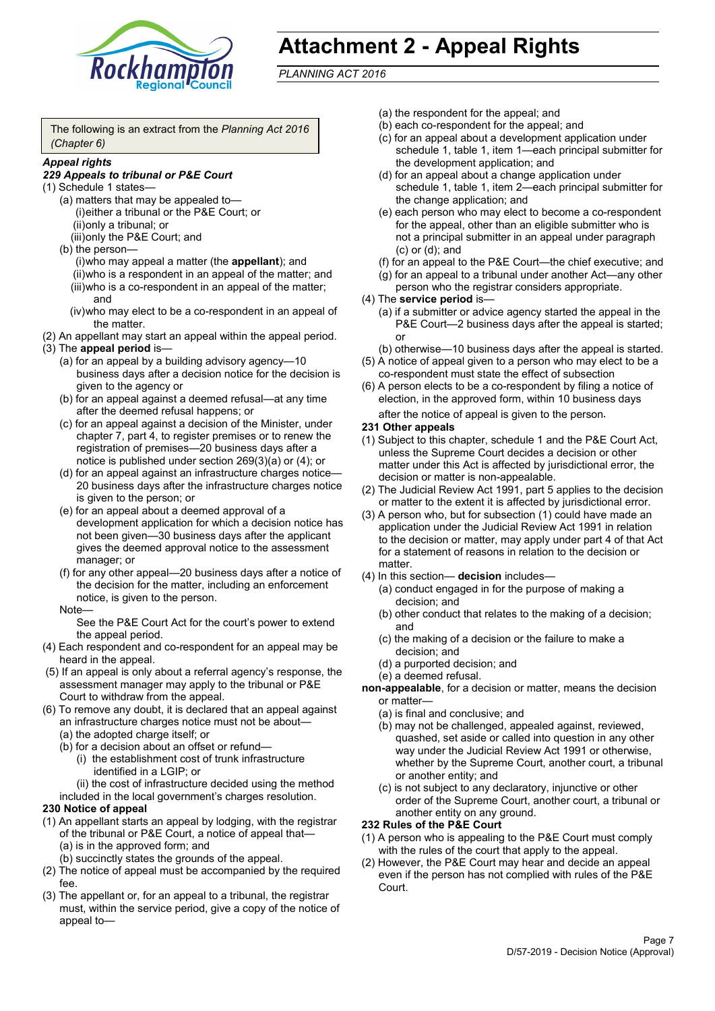

# **Attachment 2 - Appeal Rights**

*PLANNING ACT 2016*

The following is an extract from the *Planning Act 2016 (Chapter 6)*

#### *Appeal rights*

#### *229 Appeals to tribunal or P&E Court*

- (1) Schedule 1 states—
	- (a) matters that may be appealed to— (i)either a tribunal or the P&E Court; or (ii)only a tribunal; or (iii)only the P&E Court; and
	- (b) the person—

(i)who may appeal a matter (the **appellant**); and (ii)who is a respondent in an appeal of the matter; and (iii)who is a co-respondent in an appeal of the matter; and

- (iv)who may elect to be a co-respondent in an appeal of the matter.
- (2) An appellant may start an appeal within the appeal period.
- (3) The **appeal period** is—
	- (a) for an appeal by a building advisory agency—10 business days after a decision notice for the decision is given to the agency or
	- (b) for an appeal against a deemed refusal—at any time after the deemed refusal happens; or
	- (c) for an appeal against a decision of the Minister, under chapter 7, part 4, to register premises or to renew the registration of premises—20 business days after a notice is published under section 269(3)(a) or (4); or
	- (d) for an appeal against an infrastructure charges notice— 20 business days after the infrastructure charges notice is given to the person; or
	- (e) for an appeal about a deemed approval of a development application for which a decision notice has not been given—30 business days after the applicant gives the deemed approval notice to the assessment manager; or
	- (f) for any other appeal—20 business days after a notice of the decision for the matter, including an enforcement notice, is given to the person.

#### Note—

See the P&E Court Act for the court's power to extend the appeal period.

- (4) Each respondent and co-respondent for an appeal may be heard in the appeal.
- (5) If an appeal is only about a referral agency's response, the assessment manager may apply to the tribunal or P&E Court to withdraw from the appeal.
- (6) To remove any doubt, it is declared that an appeal against an infrastructure charges notice must not be about—
	- (a) the adopted charge itself; or
	- (b) for a decision about an offset or refund—
		- (i) the establishment cost of trunk infrastructure identified in a LGIP; or
		- (ii) the cost of infrastructure decided using the method

included in the local government's charges resolution.

- **230 Notice of appeal**
- (1) An appellant starts an appeal by lodging, with the registrar of the tribunal or P&E Court, a notice of appeal that—
	- (a) is in the approved form; and
	- (b) succinctly states the grounds of the appeal.
- (2) The notice of appeal must be accompanied by the required fee.
- (3) The appellant or, for an appeal to a tribunal, the registrar must, within the service period, give a copy of the notice of appeal to—
- (a) the respondent for the appeal; and
- (b) each co-respondent for the appeal; and
- (c) for an appeal about a development application under schedule 1, table 1, item 1—each principal submitter for the development application; and
- (d) for an appeal about a change application under schedule 1, table 1, item 2—each principal submitter for the change application; and
- (e) each person who may elect to become a co-respondent for the appeal, other than an eligible submitter who is not a principal submitter in an appeal under paragraph (c) or (d); and
- (f) for an appeal to the P&E Court—the chief executive; and
- (g) for an appeal to a tribunal under another Act—any other person who the registrar considers appropriate.
- (4) The **service period** is—
	- (a) if a submitter or advice agency started the appeal in the P&E Court—2 business days after the appeal is started; or
	- (b) otherwise—10 business days after the appeal is started.
- (5) A notice of appeal given to a person who may elect to be a co-respondent must state the effect of subsection
- (6) A person elects to be a co-respondent by filing a notice of election, in the approved form, within 10 business days after the notice of appeal is given to the person*.*
- **231 Other appeals**
- (1) Subject to this chapter, schedule 1 and the P&E Court Act, unless the Supreme Court decides a decision or other matter under this Act is affected by jurisdictional error, the decision or matter is non-appealable.
- (2) The Judicial Review Act 1991, part 5 applies to the decision or matter to the extent it is affected by jurisdictional error.
- (3) A person who, but for subsection (1) could have made an application under the Judicial Review Act 1991 in relation to the decision or matter, may apply under part 4 of that Act for a statement of reasons in relation to the decision or matter.
- (4) In this section— **decision** includes—
	- (a) conduct engaged in for the purpose of making a decision; and
	- (b) other conduct that relates to the making of a decision; and
	- (c) the making of a decision or the failure to make a decision; and
	- (d) a purported decision; and
	- (e) a deemed refusal.
- **non-appealable**, for a decision or matter, means the decision or matter—
	- (a) is final and conclusive; and
	- (b) may not be challenged, appealed against, reviewed, quashed, set aside or called into question in any other way under the Judicial Review Act 1991 or otherwise, whether by the Supreme Court, another court, a tribunal or another entity; and
	- (c) is not subject to any declaratory, injunctive or other order of the Supreme Court, another court, a tribunal or another entity on any ground.

#### **232 Rules of the P&E Court**

- (1) A person who is appealing to the P&E Court must comply with the rules of the court that apply to the appeal.
- (2) However, the P&E Court may hear and decide an appeal even if the person has not complied with rules of the P&E Court.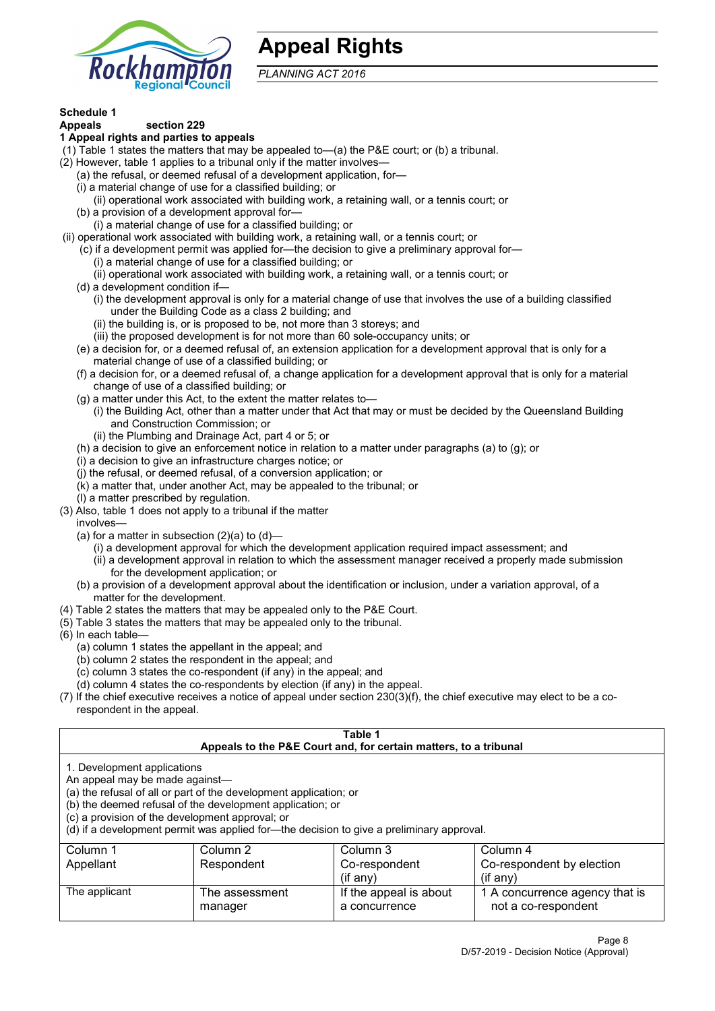

## **Appeal Rights**

*PLANNING ACT 2016*

## **Schedule 1**

#### **Appeals section 229 1 Appeal rights and parties to appeals**

- (1) Table 1 states the matters that may be appealed to—(a) the P&E court; or (b) a tribunal.
- (2) However, table 1 applies to a tribunal only if the matter involves—
	- (a) the refusal, or deemed refusal of a development application, for—
	- (i) a material change of use for a classified building; or
	- (ii) operational work associated with building work, a retaining wall, or a tennis court; or
	- (b) a provision of a development approval for—
	- (i) a material change of use for a classified building; or
- (ii) operational work associated with building work, a retaining wall, or a tennis court; or
	- (c) if a development permit was applied for—the decision to give a preliminary approval for—
		- (i) a material change of use for a classified building; or
		- (ii) operational work associated with building work, a retaining wall, or a tennis court; or
	- (d) a development condition if—
		- (i) the development approval is only for a material change of use that involves the use of a building classified under the Building Code as a class 2 building; and
		- (ii) the building is, or is proposed to be, not more than 3 storeys; and
		- (iii) the proposed development is for not more than 60 sole-occupancy units; or
	- (e) a decision for, or a deemed refusal of, an extension application for a development approval that is only for a material change of use of a classified building; or
	- (f) a decision for, or a deemed refusal of, a change application for a development approval that is only for a material change of use of a classified building; or
	- (g) a matter under this Act, to the extent the matter relates to—
		- (i) the Building Act, other than a matter under that Act that may or must be decided by the Queensland Building and Construction Commission; or
		- (ii) the Plumbing and Drainage Act, part 4 or 5; or
	- (h) a decision to give an enforcement notice in relation to a matter under paragraphs (a) to (g); or
	- (i) a decision to give an infrastructure charges notice; or
	- (j) the refusal, or deemed refusal, of a conversion application; or
	- (k) a matter that, under another Act, may be appealed to the tribunal; or
	- (l) a matter prescribed by regulation.
- (3) Also, table 1 does not apply to a tribunal if the matter

involves—

- (a) for a matter in subsection  $(2)(a)$  to  $(d)$ 
	- (i) a development approval for which the development application required impact assessment; and
	- (ii) a development approval in relation to which the assessment manager received a properly made submission for the development application; or
- (b) a provision of a development approval about the identification or inclusion, under a variation approval, of a matter for the development.
- (4) Table 2 states the matters that may be appealed only to the P&E Court.
- (5) Table 3 states the matters that may be appealed only to the tribunal.
- (6) In each table—
	- (a) column 1 states the appellant in the appeal; and
	- (b) column 2 states the respondent in the appeal; and
	- (c) column 3 states the co-respondent (if any) in the appeal; and
	- (d) column 4 states the co-respondents by election (if any) in the appeal.
- (7) If the chief executive receives a notice of appeal under section 230(3)(f), the chief executive may elect to be a corespondent in the appeal.

| Table 1                                                                                                                                                                                                                                                                                                                                                                                                            |                           |                                         |                                                       |  |
|--------------------------------------------------------------------------------------------------------------------------------------------------------------------------------------------------------------------------------------------------------------------------------------------------------------------------------------------------------------------------------------------------------------------|---------------------------|-----------------------------------------|-------------------------------------------------------|--|
| Appeals to the P&E Court and, for certain matters, to a tribunal<br>1. Development applications<br>An appeal may be made against-<br>(a) the refusal of all or part of the development application; or<br>(b) the deemed refusal of the development application; or<br>(c) a provision of the development approval; or<br>(d) if a development permit was applied for-the decision to give a preliminary approval. |                           |                                         |                                                       |  |
| Column 1<br>Column 2<br>Column 3<br>Column 4<br>Co-respondent by election<br>Appellant<br>Respondent<br>Co-respondent<br>$(i$ f any)<br>$(i$ f any)                                                                                                                                                                                                                                                                |                           |                                         |                                                       |  |
| The applicant                                                                                                                                                                                                                                                                                                                                                                                                      | The assessment<br>manager | If the appeal is about<br>a concurrence | 1 A concurrence agency that is<br>not a co-respondent |  |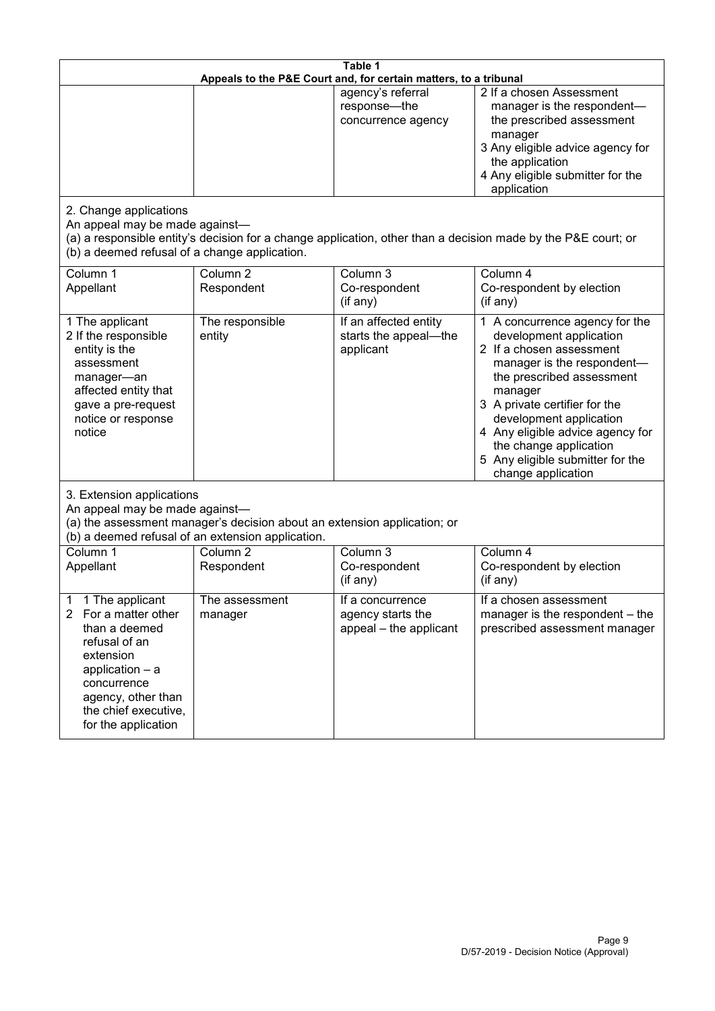| Table 1<br>Appeals to the P&E Court and, for certain matters, to a tribunal                                                                                                                                      |                                                                                                                               |                                                                 |                                                                                                                                                                                                                                                                                                                                                 |  |
|------------------------------------------------------------------------------------------------------------------------------------------------------------------------------------------------------------------|-------------------------------------------------------------------------------------------------------------------------------|-----------------------------------------------------------------|-------------------------------------------------------------------------------------------------------------------------------------------------------------------------------------------------------------------------------------------------------------------------------------------------------------------------------------------------|--|
|                                                                                                                                                                                                                  |                                                                                                                               | agency's referral<br>response-the<br>concurrence agency         | 2 If a chosen Assessment<br>manager is the respondent-<br>the prescribed assessment<br>manager<br>3 Any eligible advice agency for<br>the application<br>4 Any eligible submitter for the<br>application                                                                                                                                        |  |
| 2. Change applications<br>An appeal may be made against-<br>(b) a deemed refusal of a change application.                                                                                                        |                                                                                                                               |                                                                 | (a) a responsible entity's decision for a change application, other than a decision made by the P&E court; or                                                                                                                                                                                                                                   |  |
| Column 1<br>Appellant                                                                                                                                                                                            | Column <sub>2</sub><br>Respondent                                                                                             | Column 3<br>Co-respondent<br>(if any)                           | Column 4<br>Co-respondent by election<br>(if any)                                                                                                                                                                                                                                                                                               |  |
| 1 The applicant<br>2 If the responsible<br>entity is the<br>assessment<br>manager-an<br>affected entity that<br>gave a pre-request<br>notice or response<br>notice                                               | The responsible<br>entity                                                                                                     | If an affected entity<br>starts the appeal-the<br>applicant     | 1 A concurrence agency for the<br>development application<br>2 If a chosen assessment<br>manager is the respondent-<br>the prescribed assessment<br>manager<br>3 A private certifier for the<br>development application<br>4 Any eligible advice agency for<br>the change application<br>5 Any eligible submitter for the<br>change application |  |
| 3. Extension applications<br>An appeal may be made against-                                                                                                                                                      | (a) the assessment manager's decision about an extension application; or<br>(b) a deemed refusal of an extension application. |                                                                 |                                                                                                                                                                                                                                                                                                                                                 |  |
| Column 1<br>Appellant                                                                                                                                                                                            | Column <sub>2</sub><br>Respondent                                                                                             | Column 3<br>Co-respondent<br>(if any)                           | Column 4<br>Co-respondent by election<br>(if any)                                                                                                                                                                                                                                                                                               |  |
| 1 The applicant<br>1<br>For a matter other<br>$\mathbf{2}$<br>than a deemed<br>refusal of an<br>extension<br>application - a<br>concurrence<br>agency, other than<br>the chief executive,<br>for the application | The assessment<br>manager                                                                                                     | If a concurrence<br>agency starts the<br>appeal - the applicant | If a chosen assessment<br>manager is the respondent – the<br>prescribed assessment manager                                                                                                                                                                                                                                                      |  |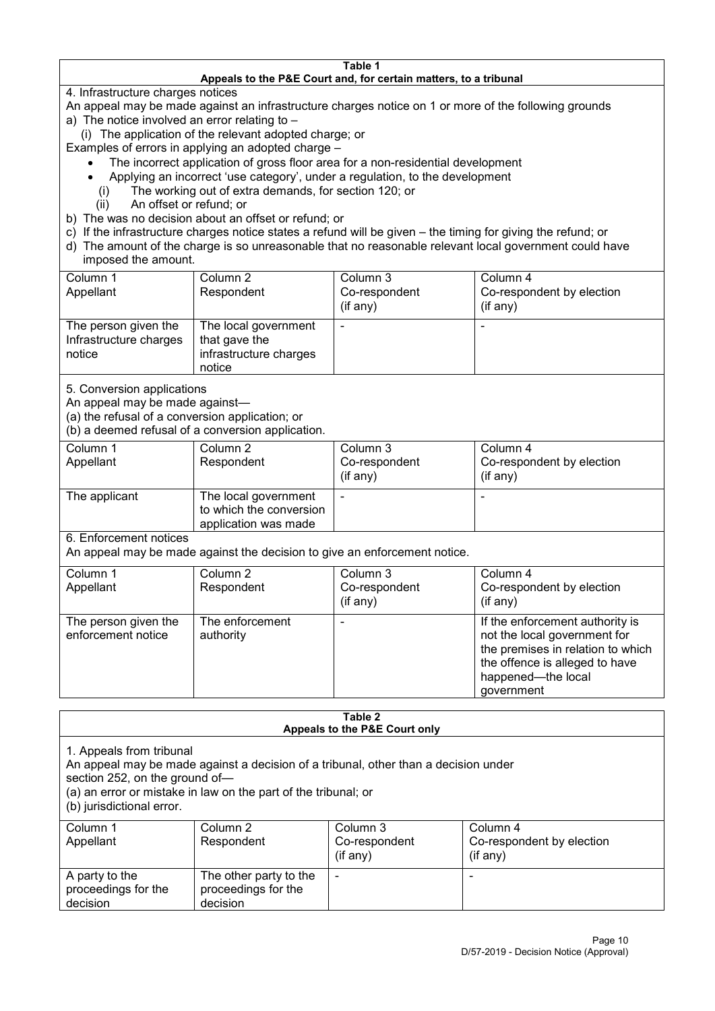#### **Table 1 Appeals to the P&E Court and, for certain matters, to a tribunal**

4. Infrastructure charges notices

- An appeal may be made against an infrastructure charges notice on 1 or more of the following grounds
- a) The notice involved an error relating to
	- (i) The application of the relevant adopted charge; or
- Examples of errors in applying an adopted charge
	- The incorrect application of gross floor area for a non-residential development
	- Applying an incorrect 'use category', under a regulation, to the development
	- (i) The working out of extra demands, for section 120; or
	- (ii) An offset or refund; or
- b) The was no decision about an offset or refund; or
- c) If the infrastructure charges notice states a refund will be given the timing for giving the refund; or
- d) The amount of the charge is so unreasonable that no reasonable relevant local government could have
- imposed the amount.

| Column 1                                                 | Column 2                                                                  | Column 3      | Column 4                  |
|----------------------------------------------------------|---------------------------------------------------------------------------|---------------|---------------------------|
| Appellant                                                | Respondent                                                                | Co-respondent | Co-respondent by election |
|                                                          |                                                                           | (if any)      | (if any)                  |
| The person given the<br>Infrastructure charges<br>notice | The local government<br>that gave the<br>infrastructure charges<br>notice |               | -                         |

5. Conversion applications

An appeal may be made against—

(a) the refusal of a conversion application; or

(b) a deemed refusal of a conversion application.

| Column 1<br>Appellant | Column 2<br>Respondent                                                  | Column 3<br>Co-respondent<br>(if any) | Column 4<br>Co-respondent by election<br>$($ if any $)$ |
|-----------------------|-------------------------------------------------------------------------|---------------------------------------|---------------------------------------------------------|
| The applicant         | The local government<br>to which the conversion<br>application was made | -                                     | -                                                       |

6. Enforcement notices

An appeal may be made against the decision to give an enforcement notice.

| Column 1                                   | Column 2                     | Column 3      | Column 4                                                                                                                                                                   |
|--------------------------------------------|------------------------------|---------------|----------------------------------------------------------------------------------------------------------------------------------------------------------------------------|
| Appellant                                  | Respondent                   | Co-respondent | Co-respondent by election                                                                                                                                                  |
|                                            |                              | (if any)      | (if any)                                                                                                                                                                   |
| The person given the<br>enforcement notice | The enforcement<br>authority |               | If the enforcement authority is<br>not the local government for<br>the premises in relation to which<br>the offence is alleged to have<br>happened-the local<br>government |

#### **Table 2 Appeals to the P&E Court only**

1. Appeals from tribunal

An appeal may be made against a decision of a tribunal, other than a decision under

section 252, on the ground of—

(a) an error or mistake in law on the part of the tribunal; or

(b) jurisdictional error.

| Column 1<br>Appellant                             | Column 2<br>Respondent                                    | Column 3<br>Co-respondent<br>$($ if any $)$ | Column 4<br>Co-respondent by election<br>$($ if any $)$ |
|---------------------------------------------------|-----------------------------------------------------------|---------------------------------------------|---------------------------------------------------------|
| A party to the<br>proceedings for the<br>decision | The other party to the<br>proceedings for the<br>decision | $\overline{\phantom{a}}$                    |                                                         |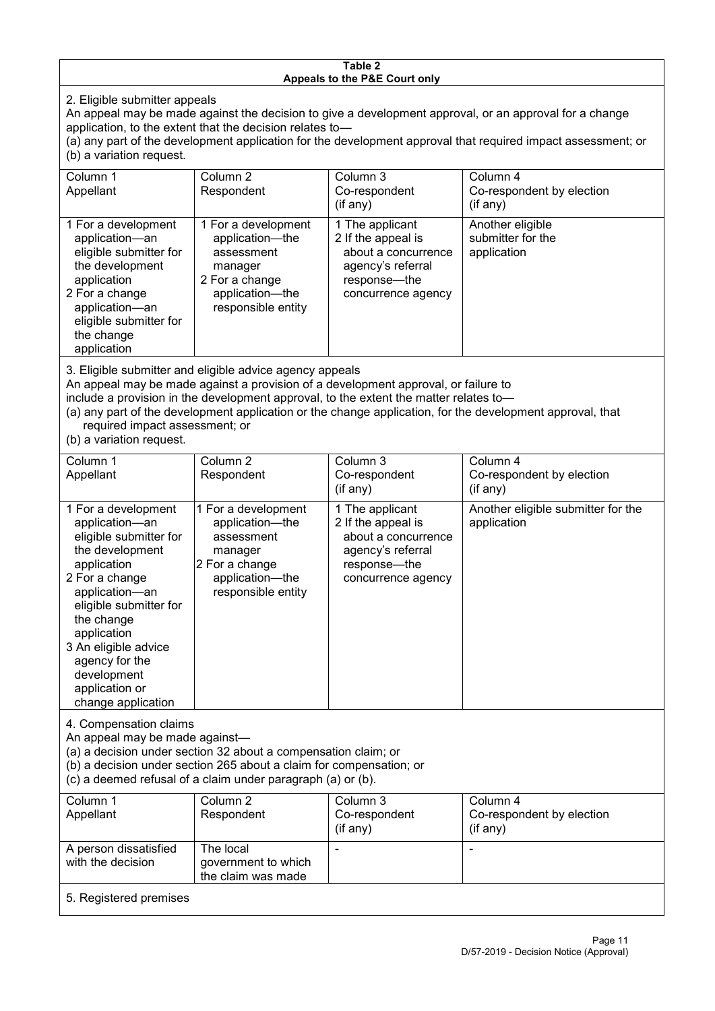#### **Table 2 Appeals to the P&E Court only**

2. Eligible submitter appeals

An appeal may be made against the decision to give a development approval, or an approval for a change application, to the extent that the decision relates to—

(a) any part of the development application for the development approval that required impact assessment; or (b) a variation request.

| Column 1<br>Appellant                                                                                                                                                                                                                                                                                                                                                                  | Column 2<br>Respondent                                                                                                     | Column 3<br>Co-respondent<br>$($ if any $)$                                                                             | Column 4<br>Co-respondent by election<br>(if any)    |
|----------------------------------------------------------------------------------------------------------------------------------------------------------------------------------------------------------------------------------------------------------------------------------------------------------------------------------------------------------------------------------------|----------------------------------------------------------------------------------------------------------------------------|-------------------------------------------------------------------------------------------------------------------------|------------------------------------------------------|
| 1 For a development<br>application-an<br>eligible submitter for<br>the development<br>application<br>2 For a change<br>application-an<br>eligible submitter for<br>the change<br>application                                                                                                                                                                                           | 1 For a development<br>application-the<br>assessment<br>manager<br>2 For a change<br>application-the<br>responsible entity | 1 The applicant<br>2 If the appeal is<br>about a concurrence<br>agency's referral<br>response-the<br>concurrence agency | Another eligible<br>submitter for the<br>application |
| 3. Eligible submitter and eligible advice agency appeals<br>An appeal may be made against a provision of a development approval, or failure to<br>include a provision in the development approval, to the extent the matter relates to-<br>(a) any part of the development application or the change application, for the development approval, that<br>required impact assessment; or |                                                                                                                            |                                                                                                                         |                                                      |

(b) a variation request.

| Column 1<br>Appellant                                                                                                                                                                                                                                                                         | Column <sub>2</sub><br>Respondent                                                                                          | Column 3<br>Co-respondent<br>(if any)                                                                                   | Column 4<br>Co-respondent by election<br>(if any) |
|-----------------------------------------------------------------------------------------------------------------------------------------------------------------------------------------------------------------------------------------------------------------------------------------------|----------------------------------------------------------------------------------------------------------------------------|-------------------------------------------------------------------------------------------------------------------------|---------------------------------------------------|
| 1 For a development<br>application-an<br>eligible submitter for<br>the development<br>application<br>2 For a change<br>application-an<br>eligible submitter for<br>the change<br>application<br>3 An eligible advice<br>agency for the<br>development<br>application or<br>change application | 1 For a development<br>application-the<br>assessment<br>manager<br>2 For a change<br>application-the<br>responsible entity | 1 The applicant<br>2 If the appeal is<br>about a concurrence<br>agency's referral<br>response—the<br>concurrence agency | Another eligible submitter for the<br>application |
| 4. Compensation claims<br>An appeal may be made against-<br>(a) a decision under section 32 about a compensation claim; or<br>(b) a decision under section 265 about a claim for compensation; or<br>(c) a deemed refusal of a claim under paragraph (a) or (b).                              |                                                                                                                            |                                                                                                                         |                                                   |
| Column 1<br>Appellant                                                                                                                                                                                                                                                                         | Column <sub>2</sub><br>Respondent                                                                                          | Column 3<br>Co-respondent<br>$($ if any $)$                                                                             | Column 4<br>Co-respondent by election<br>(if any) |
| A person dissatisfied<br>with the decision                                                                                                                                                                                                                                                    | The local<br>government to which<br>the claim was made                                                                     |                                                                                                                         |                                                   |

#### 5. Registered premises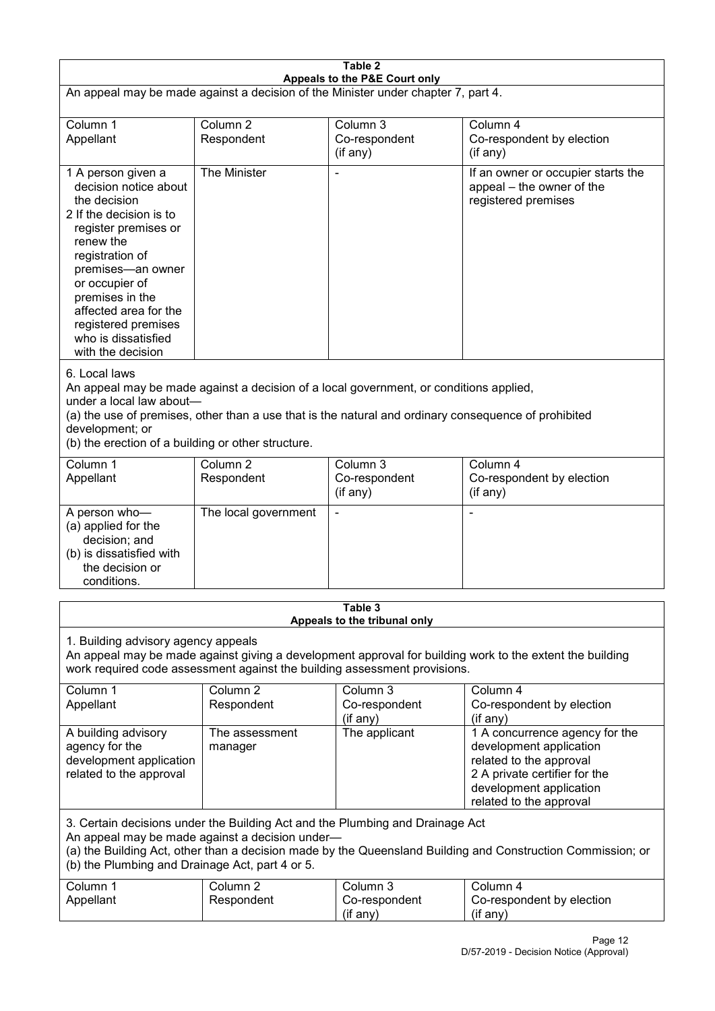| Table 2<br>Appeals to the P&E Court only                                                                                                                                                                                                                                                                             |                                   |                                         |                                                                                                                                                                             |  |
|----------------------------------------------------------------------------------------------------------------------------------------------------------------------------------------------------------------------------------------------------------------------------------------------------------------------|-----------------------------------|-----------------------------------------|-----------------------------------------------------------------------------------------------------------------------------------------------------------------------------|--|
| An appeal may be made against a decision of the Minister under chapter 7, part 4.                                                                                                                                                                                                                                    |                                   |                                         |                                                                                                                                                                             |  |
| Column 1<br>Appellant                                                                                                                                                                                                                                                                                                | Column <sub>2</sub><br>Respondent | Column 3<br>Co-respondent<br>(if any)   | Column 4<br>Co-respondent by election<br>(if any)                                                                                                                           |  |
| 1 A person given a<br>decision notice about<br>the decision<br>2 If the decision is to<br>register premises or<br>renew the<br>registration of<br>premises-an owner<br>or occupier of<br>premises in the<br>affected area for the<br>registered premises<br>who is dissatisfied<br>with the decision                 | The Minister                      |                                         | If an owner or occupier starts the<br>appeal – the owner of the<br>registered premises                                                                                      |  |
| 6. Local laws<br>An appeal may be made against a decision of a local government, or conditions applied,<br>under a local law about-<br>(a) the use of premises, other than a use that is the natural and ordinary consequence of prohibited<br>development; or<br>(b) the erection of a building or other structure. |                                   |                                         |                                                                                                                                                                             |  |
| Column 1<br>Appellant                                                                                                                                                                                                                                                                                                | Column <sub>2</sub><br>Respondent | Column 3<br>Co-respondent<br>(if any)   | Column 4<br>Co-respondent by election<br>(if any)                                                                                                                           |  |
| A person who-<br>(a) applied for the<br>decision; and<br>(b) is dissatisfied with<br>the decision or<br>conditions.                                                                                                                                                                                                  | The local government              |                                         |                                                                                                                                                                             |  |
|                                                                                                                                                                                                                                                                                                                      |                                   | Table 3<br>Appeals to the tribunal only |                                                                                                                                                                             |  |
| 1. Building advisory agency appeals<br>An appeal may be made against giving a development approval for building work to the extent the building<br>work required code assessment against the building assessment provisions.                                                                                         |                                   |                                         |                                                                                                                                                                             |  |
| Column 1<br>Appellant                                                                                                                                                                                                                                                                                                | Column <sub>2</sub><br>Respondent | Column 3<br>Co-respondent<br>(if any)   | Column 4<br>Co-respondent by election<br>(if any)                                                                                                                           |  |
| A building advisory<br>agency for the<br>development application<br>related to the approval                                                                                                                                                                                                                          | The assessment<br>manager         | The applicant                           | 1 A concurrence agency for the<br>development application<br>related to the approval<br>2 A private certifier for the<br>development application<br>related to the approval |  |
| 3. Certain decisions under the Building Act and the Plumbing and Drainage Act<br>An appeal may be made against a decision under-<br>(a) the Building Act, other than a decision made by the Queensland Building and Construction Commission; or<br>(b) the Plumbing and Drainage Act, part 4 or 5.                   |                                   |                                         |                                                                                                                                                                             |  |
| Column 1<br>Appellant                                                                                                                                                                                                                                                                                                | Column <sub>2</sub><br>Respondent | Column 3<br>Co-respondent<br>(if any)   | Column 4<br>Co-respondent by election<br>(if any)                                                                                                                           |  |